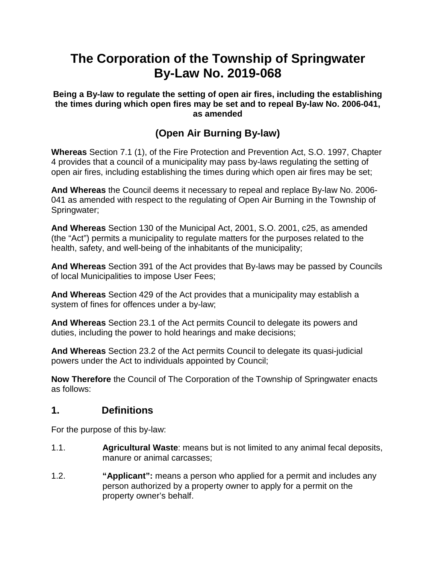# **The Corporation of the Township of Springwater By-Law No. 2019-068**

**Being a By-law to regulate the setting of open air fires, including the establishing the times during which open fires may be set and to repeal By-law No. 2006-041, as amended**

## **(Open Air Burning By-law)**

**Whereas** Section 7.1 (1), of the Fire Protection and Prevention Act, S.O. 1997, Chapter 4 provides that a council of a municipality may pass by-laws regulating the setting of open air fires, including establishing the times during which open air fires may be set;

**And Whereas** the Council deems it necessary to repeal and replace By-law No. 2006- 041 as amended with respect to the regulating of Open Air Burning in the Township of Springwater;

**And Whereas** Section 130 of the Municipal Act, 2001, S.O. 2001, c25, as amended (the "Act") permits a municipality to regulate matters for the purposes related to the health, safety, and well-being of the inhabitants of the municipality;

**And Whereas** Section 391 of the Act provides that By-laws may be passed by Councils of local Municipalities to impose User Fees;

**And Whereas** Section 429 of the Act provides that a municipality may establish a system of fines for offences under a by-law;

**And Whereas** Section 23.1 of the Act permits Council to delegate its powers and duties, including the power to hold hearings and make decisions;

**And Whereas** Section 23.2 of the Act permits Council to delegate its quasi-judicial powers under the Act to individuals appointed by Council;

**Now Therefore** the Council of The Corporation of the Township of Springwater enacts as follows:

### **1. Definitions**

For the purpose of this by-law:

- 1.1. **Agricultural Waste**: means but is not limited to any animal fecal deposits, manure or animal carcasses;
- 1.2. **"Applicant":** means a person who applied for a permit and includes any person authorized by a property owner to apply for a permit on the property owner's behalf.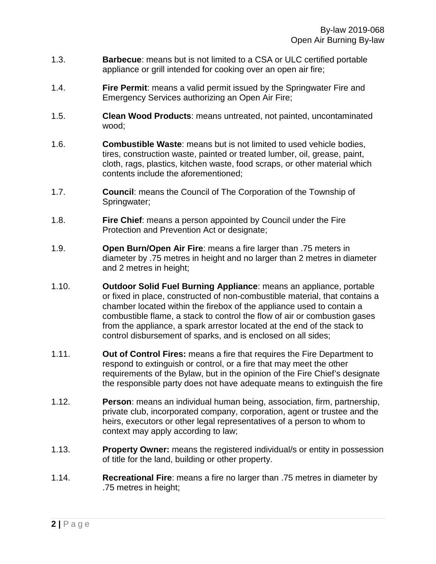- 1.3. **Barbecue**: means but is not limited to a CSA or ULC certified portable appliance or grill intended for cooking over an open air fire;
- 1.4. **Fire Permit**: means a valid permit issued by the Springwater Fire and Emergency Services authorizing an Open Air Fire;
- 1.5. **Clean Wood Products**: means untreated, not painted, uncontaminated wood;
- 1.6. **Combustible Waste**: means but is not limited to used vehicle bodies, tires, construction waste, painted or treated lumber, oil, grease, paint, cloth, rags, plastics, kitchen waste, food scraps, or other material which contents include the aforementioned;
- 1.7. **Council**: means the Council of The Corporation of the Township of Springwater;
- 1.8. **Fire Chief**: means a person appointed by Council under the Fire Protection and Prevention Act or designate;
- 1.9. **Open Burn/Open Air Fire**: means a fire larger than .75 meters in diameter by .75 metres in height and no larger than 2 metres in diameter and 2 metres in height;
- 1.10. **Outdoor Solid Fuel Burning Appliance**: means an appliance, portable or fixed in place, constructed of non-combustible material, that contains a chamber located within the firebox of the appliance used to contain a combustible flame, a stack to control the flow of air or combustion gases from the appliance, a spark arrestor located at the end of the stack to control disbursement of sparks, and is enclosed on all sides;
- 1.11. **Out of Control Fires:** means a fire that requires the Fire Department to respond to extinguish or control, or a fire that may meet the other requirements of the Bylaw, but in the opinion of the Fire Chief's designate the responsible party does not have adequate means to extinguish the fire
- 1.12. **Person**: means an individual human being, association, firm, partnership, private club, incorporated company, corporation, agent or trustee and the heirs, executors or other legal representatives of a person to whom to context may apply according to law;
- 1.13. **Property Owner:** means the registered individual/s or entity in possession of title for the land, building or other property.
- 1.14. **Recreational Fire**: means a fire no larger than .75 metres in diameter by .75 metres in height;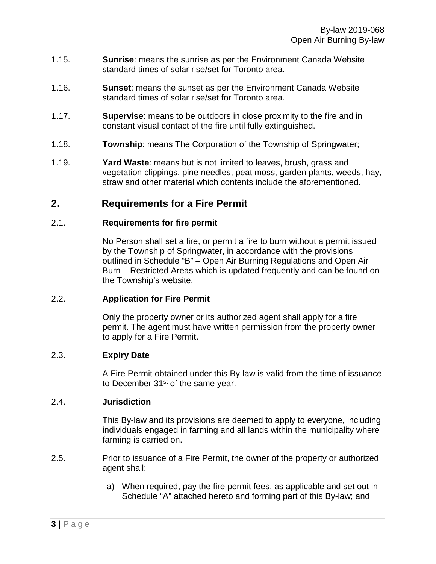- 1.15. **Sunrise**: means the sunrise as per the Environment Canada Website standard times of solar rise/set for Toronto area.
- 1.16. **Sunset**: means the sunset as per the Environment Canada Website standard times of solar rise/set for Toronto area.
- 1.17. **Supervise**: means to be outdoors in close proximity to the fire and in constant visual contact of the fire until fully extinguished.
- 1.18. **Township**: means The Corporation of the Township of Springwater;
- 1.19. **Yard Waste**: means but is not limited to leaves, brush, grass and vegetation clippings, pine needles, peat moss, garden plants, weeds, hay, straw and other material which contents include the aforementioned.

## **2. Requirements for a Fire Permit**

#### 2.1. **Requirements for fire permit**

No Person shall set a fire, or permit a fire to burn without a permit issued by the Township of Springwater, in accordance with the provisions outlined in Schedule "B" – Open Air Burning Regulations and Open Air Burn – Restricted Areas which is updated frequently and can be found on the Township's website.

### 2.2. **Application for Fire Permit**

Only the property owner or its authorized agent shall apply for a fire permit. The agent must have written permission from the property owner to apply for a Fire Permit.

#### 2.3. **Expiry Date**

A Fire Permit obtained under this By-law is valid from the time of issuance to December 31<sup>st</sup> of the same year.

#### 2.4. **Jurisdiction**

This By-law and its provisions are deemed to apply to everyone, including individuals engaged in farming and all lands within the municipality where farming is carried on.

- 2.5. Prior to issuance of a Fire Permit, the owner of the property or authorized agent shall:
	- a) When required, pay the fire permit fees, as applicable and set out in Schedule "A" attached hereto and forming part of this By-law; and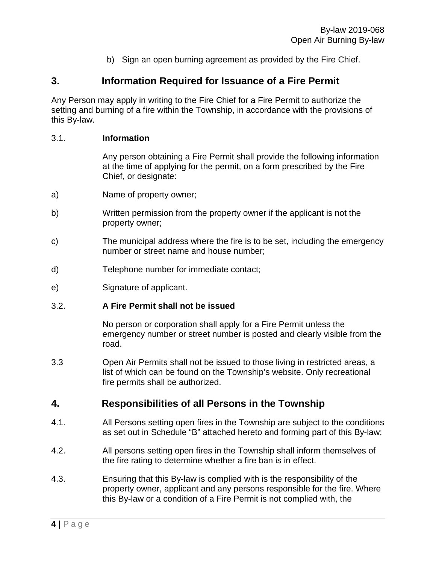b) Sign an open burning agreement as provided by the Fire Chief.

## **3. Information Required for Issuance of a Fire Permit**

Any Person may apply in writing to the Fire Chief for a Fire Permit to authorize the setting and burning of a fire within the Township, in accordance with the provisions of this By-law.

#### 3.1. **Information**

Any person obtaining a Fire Permit shall provide the following information at the time of applying for the permit, on a form prescribed by the Fire Chief, or designate:

- a) Name of property owner;
- b) Written permission from the property owner if the applicant is not the property owner;
- c) The municipal address where the fire is to be set, including the emergency number or street name and house number;
- d) Telephone number for immediate contact;
- e) Signature of applicant.

#### 3.2. **A Fire Permit shall not be issued**

No person or corporation shall apply for a Fire Permit unless the emergency number or street number is posted and clearly visible from the road.

3.3 Open Air Permits shall not be issued to those living in restricted areas, a list of which can be found on the Township's website. Only recreational fire permits shall be authorized.

### **4. Responsibilities of all Persons in the Township**

- 4.1. All Persons setting open fires in the Township are subject to the conditions as set out in Schedule "B" attached hereto and forming part of this By-law;
- 4.2. All persons setting open fires in the Township shall inform themselves of the fire rating to determine whether a fire ban is in effect.
- 4.3. Ensuring that this By-law is complied with is the responsibility of the property owner, applicant and any persons responsible for the fire. Where this By-law or a condition of a Fire Permit is not complied with, the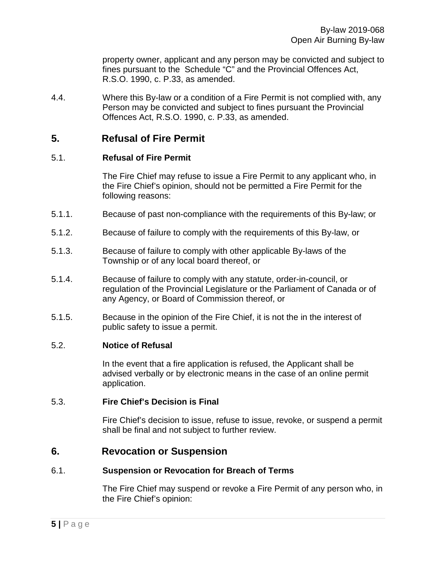property owner, applicant and any person may be convicted and subject to fines pursuant to the Schedule "C" and the Provincial Offences Act, R.S.O. 1990, c. P.33, as amended.

4.4. Where this By-law or a condition of a Fire Permit is not complied with, any Person may be convicted and subject to fines pursuant the Provincial Offences Act, R.S.O. 1990, c. P.33, as amended.

### **5. Refusal of Fire Permit**

#### 5.1. **Refusal of Fire Permit**

The Fire Chief may refuse to issue a Fire Permit to any applicant who, in the Fire Chief's opinion, should not be permitted a Fire Permit for the following reasons:

- 5.1.1. Because of past non-compliance with the requirements of this By-law; or
- 5.1.2. Because of failure to comply with the requirements of this By-law, or
- 5.1.3. Because of failure to comply with other applicable By-laws of the Township or of any local board thereof, or
- 5.1.4. Because of failure to comply with any statute, order-in-council, or regulation of the Provincial Legislature or the Parliament of Canada or of any Agency, or Board of Commission thereof, or
- 5.1.5. Because in the opinion of the Fire Chief, it is not the in the interest of public safety to issue a permit.

#### 5.2. **Notice of Refusal**

In the event that a fire application is refused, the Applicant shall be advised verbally or by electronic means in the case of an online permit application.

#### 5.3. **Fire Chief's Decision is Final**

Fire Chief's decision to issue, refuse to issue, revoke, or suspend a permit shall be final and not subject to further review.

### **6. Revocation or Suspension**

#### 6.1. **Suspension or Revocation for Breach of Terms**

The Fire Chief may suspend or revoke a Fire Permit of any person who, in the Fire Chief's opinion: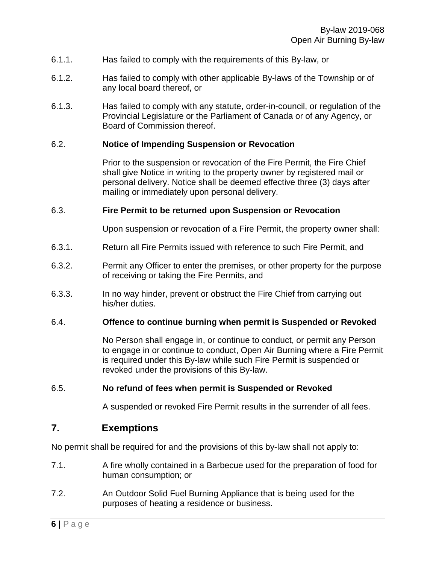- 6.1.1. Has failed to comply with the requirements of this By-law, or
- 6.1.2. Has failed to comply with other applicable By-laws of the Township or of any local board thereof, or
- 6.1.3. Has failed to comply with any statute, order-in-council, or regulation of the Provincial Legislature or the Parliament of Canada or of any Agency, or Board of Commission thereof.

#### 6.2. **Notice of Impending Suspension or Revocation**

Prior to the suspension or revocation of the Fire Permit, the Fire Chief shall give Notice in writing to the property owner by registered mail or personal delivery. Notice shall be deemed effective three (3) days after mailing or immediately upon personal delivery.

#### 6.3. **Fire Permit to be returned upon Suspension or Revocation**

Upon suspension or revocation of a Fire Permit, the property owner shall:

- 6.3.1. Return all Fire Permits issued with reference to such Fire Permit, and
- 6.3.2. Permit any Officer to enter the premises, or other property for the purpose of receiving or taking the Fire Permits, and
- 6.3.3. In no way hinder, prevent or obstruct the Fire Chief from carrying out his/her duties.

#### 6.4. **Offence to continue burning when permit is Suspended or Revoked**

No Person shall engage in, or continue to conduct, or permit any Person to engage in or continue to conduct, Open Air Burning where a Fire Permit is required under this By-law while such Fire Permit is suspended or revoked under the provisions of this By-law.

#### 6.5. **No refund of fees when permit is Suspended or Revoked**

A suspended or revoked Fire Permit results in the surrender of all fees.

### **7. Exemptions**

No permit shall be required for and the provisions of this by-law shall not apply to:

- 7.1. A fire wholly contained in a Barbecue used for the preparation of food for human consumption; or
- 7.2. An Outdoor Solid Fuel Burning Appliance that is being used for the purposes of heating a residence or business.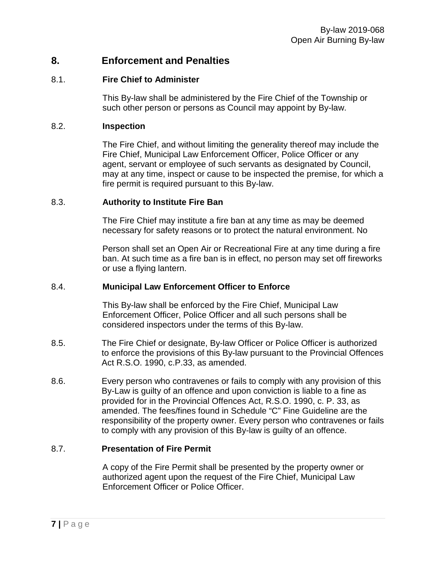### **8. Enforcement and Penalties**

#### 8.1. **Fire Chief to Administer**

This By-law shall be administered by the Fire Chief of the Township or such other person or persons as Council may appoint by By-law.

#### 8.2. **Inspection**

The Fire Chief, and without limiting the generality thereof may include the Fire Chief, Municipal Law Enforcement Officer, Police Officer or any agent, servant or employee of such servants as designated by Council, may at any time, inspect or cause to be inspected the premise, for which a fire permit is required pursuant to this By-law.

#### 8.3. **Authority to Institute Fire Ban**

The Fire Chief may institute a fire ban at any time as may be deemed necessary for safety reasons or to protect the natural environment. No

Person shall set an Open Air or Recreational Fire at any time during a fire ban. At such time as a fire ban is in effect, no person may set off fireworks or use a flying lantern.

#### 8.4. **Municipal Law Enforcement Officer to Enforce**

This By-law shall be enforced by the Fire Chief, Municipal Law Enforcement Officer, Police Officer and all such persons shall be considered inspectors under the terms of this By-law.

- 8.5. The Fire Chief or designate, By-law Officer or Police Officer is authorized to enforce the provisions of this By-law pursuant to the Provincial Offences Act R.S.O. 1990, c.P.33, as amended.
- 8.6. Every person who contravenes or fails to comply with any provision of this By-Law is guilty of an offence and upon conviction is liable to a fine as provided for in the Provincial Offences Act, R.S.O. 1990, c. P. 33, as amended. The fees/fines found in Schedule "C" Fine Guideline are the responsibility of the property owner. Every person who contravenes or fails to comply with any provision of this By-law is guilty of an offence.

#### 8.7. **Presentation of Fire Permit**

A copy of the Fire Permit shall be presented by the property owner or authorized agent upon the request of the Fire Chief, Municipal Law Enforcement Officer or Police Officer.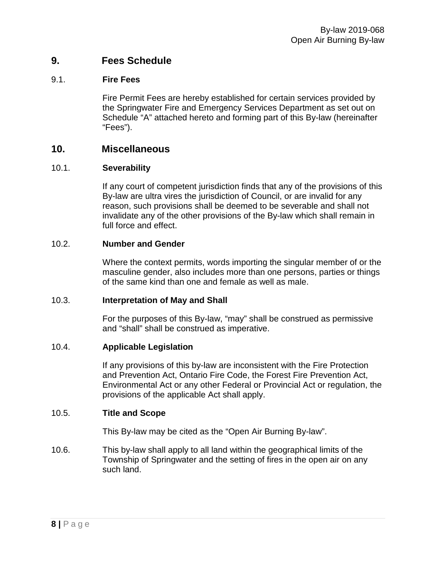### **9. Fees Schedule**

#### 9.1. **Fire Fees**

Fire Permit Fees are hereby established for certain services provided by the Springwater Fire and Emergency Services Department as set out on Schedule "A" attached hereto and forming part of this By-law (hereinafter "Fees").

### **10. Miscellaneous**

#### 10.1. **Severability**

If any court of competent jurisdiction finds that any of the provisions of this By-law are ultra vires the jurisdiction of Council, or are invalid for any reason, such provisions shall be deemed to be severable and shall not invalidate any of the other provisions of the By-law which shall remain in full force and effect.

#### 10.2. **Number and Gender**

Where the context permits, words importing the singular member of or the masculine gender, also includes more than one persons, parties or things of the same kind than one and female as well as male.

#### 10.3. **Interpretation of May and Shall**

For the purposes of this By-law, "may" shall be construed as permissive and "shall" shall be construed as imperative.

#### 10.4. **Applicable Legislation**

If any provisions of this by-law are inconsistent with the Fire Protection and Prevention Act, Ontario Fire Code, the Forest Fire Prevention Act, Environmental Act or any other Federal or Provincial Act or regulation, the provisions of the applicable Act shall apply.

#### 10.5. **Title and Scope**

This By-law may be cited as the "Open Air Burning By-law".

10.6. This by-law shall apply to all land within the geographical limits of the Township of Springwater and the setting of fires in the open air on any such land.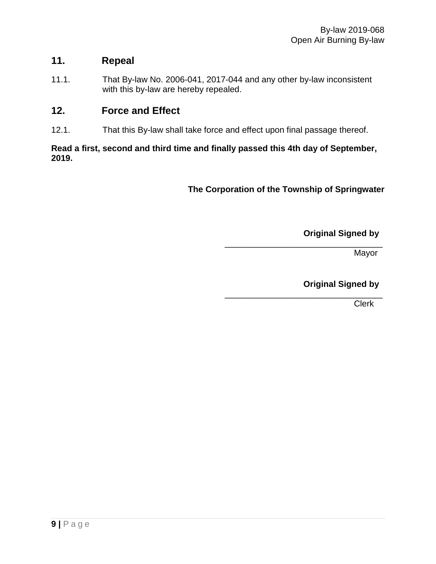## **11. Repeal**

11.1. That By-law No. 2006-041, 2017-044 and any other by-law inconsistent with this by-law are hereby repealed.

## **12. Force and Effect**

12.1. That this By-law shall take force and effect upon final passage thereof.

#### **Read a first, second and third time and finally passed this 4th day of September, 2019.**

**The Corporation of the Township of Springwater**

**Original Signed by**

\_\_\_\_\_\_\_\_\_\_\_\_\_\_\_\_\_\_\_\_\_\_\_\_\_\_\_\_\_\_\_\_\_ Mayor

**Original Signed by**

\_\_\_\_\_\_\_\_\_\_\_\_\_\_\_\_\_\_\_\_\_\_\_\_\_\_\_\_\_\_\_\_\_ Clerk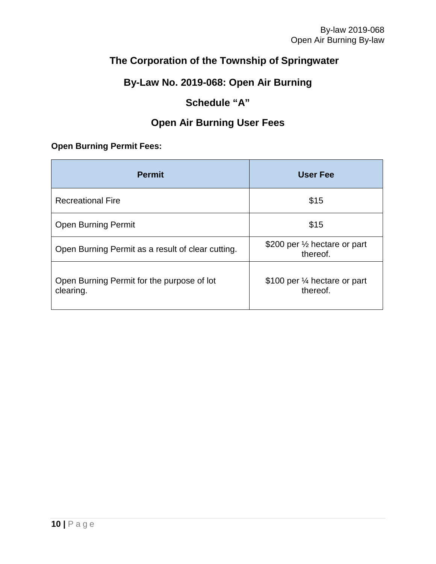## **The Corporation of the Township of Springwater**

## **By-Law No. 2019-068: Open Air Burning**

## **Schedule "A"**

## **Open Air Burning User Fees**

### **Open Burning Permit Fees:**

| <b>Permit</b>                                           | <b>User Fee</b>                           |
|---------------------------------------------------------|-------------------------------------------|
| <b>Recreational Fire</b>                                | \$15                                      |
| <b>Open Burning Permit</b>                              | \$15                                      |
| Open Burning Permit as a result of clear cutting.       | \$200 per 1/2 hectare or part<br>thereof. |
| Open Burning Permit for the purpose of lot<br>clearing. | \$100 per ¼ hectare or part<br>thereof.   |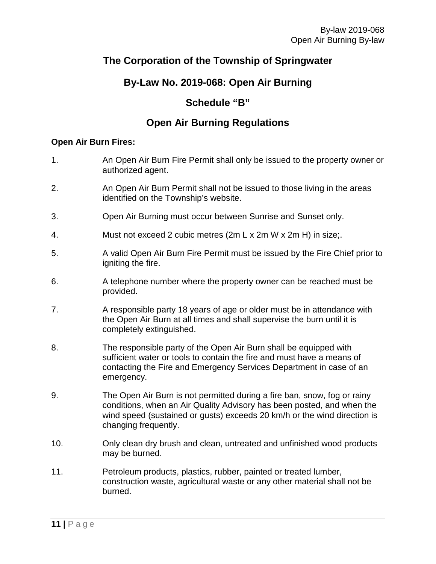## **The Corporation of the Township of Springwater**

## **By-Law No. 2019-068: Open Air Burning**

## **Schedule "B"**

## **Open Air Burning Regulations**

#### **Open Air Burn Fires:**

- 1. An Open Air Burn Fire Permit shall only be issued to the property owner or authorized agent.
- 2. An Open Air Burn Permit shall not be issued to those living in the areas identified on the Township's website.
- 3. Open Air Burning must occur between Sunrise and Sunset only.
- 4. Must not exceed 2 cubic metres (2m L x 2m W x 2m H) in size;.
- 5. A valid Open Air Burn Fire Permit must be issued by the Fire Chief prior to igniting the fire.
- 6. A telephone number where the property owner can be reached must be provided.
- 7. A responsible party 18 years of age or older must be in attendance with the Open Air Burn at all times and shall supervise the burn until it is completely extinguished.
- 8. The responsible party of the Open Air Burn shall be equipped with sufficient water or tools to contain the fire and must have a means of contacting the Fire and Emergency Services Department in case of an emergency.
- 9. The Open Air Burn is not permitted during a fire ban, snow, fog or rainy conditions, when an Air Quality Advisory has been posted, and when the wind speed (sustained or gusts) exceeds 20 km/h or the wind direction is changing frequently.
- 10. Only clean dry brush and clean, untreated and unfinished wood products may be burned.
- 11. Petroleum products, plastics, rubber, painted or treated lumber, construction waste, agricultural waste or any other material shall not be burned.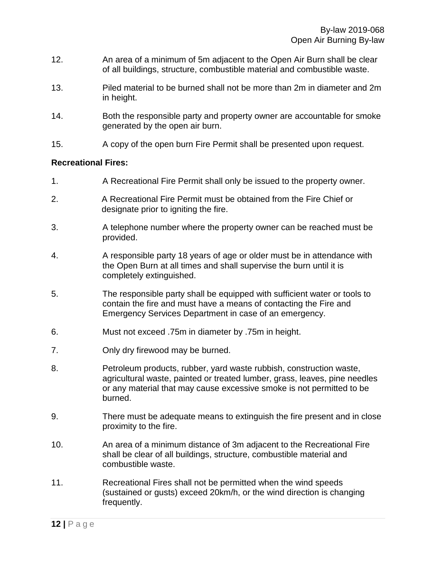- 12. An area of a minimum of 5m adjacent to the Open Air Burn shall be clear of all buildings, structure, combustible material and combustible waste.
- 13. Piled material to be burned shall not be more than 2m in diameter and 2m in height.
- 14. Both the responsible party and property owner are accountable for smoke generated by the open air burn.
- 15. A copy of the open burn Fire Permit shall be presented upon request.

#### **Recreational Fires:**

- 1. A Recreational Fire Permit shall only be issued to the property owner.
- 2. A Recreational Fire Permit must be obtained from the Fire Chief or designate prior to igniting the fire.
- 3. A telephone number where the property owner can be reached must be provided.
- 4. A responsible party 18 years of age or older must be in attendance with the Open Burn at all times and shall supervise the burn until it is completely extinguished.
- 5. The responsible party shall be equipped with sufficient water or tools to contain the fire and must have a means of contacting the Fire and Emergency Services Department in case of an emergency.
- 6. Must not exceed .75m in diameter by .75m in height.
- 7. Only dry firewood may be burned.
- 8. Petroleum products, rubber, yard waste rubbish, construction waste, agricultural waste, painted or treated lumber, grass, leaves, pine needles or any material that may cause excessive smoke is not permitted to be burned.
- 9. There must be adequate means to extinguish the fire present and in close proximity to the fire.
- 10. An area of a minimum distance of 3m adjacent to the Recreational Fire shall be clear of all buildings, structure, combustible material and combustible waste.
- 11. Recreational Fires shall not be permitted when the wind speeds (sustained or gusts) exceed 20km/h, or the wind direction is changing frequently.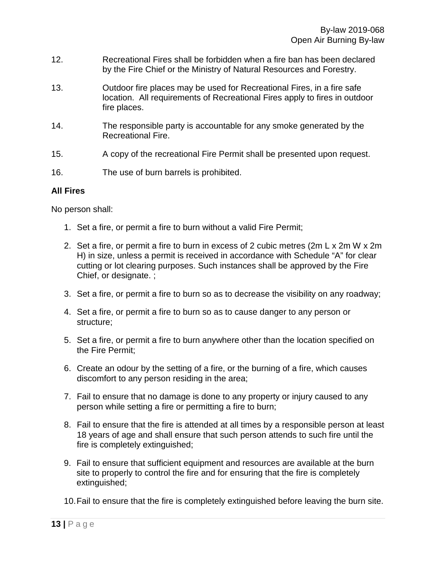- 12. Recreational Fires shall be forbidden when a fire ban has been declared by the Fire Chief or the Ministry of Natural Resources and Forestry.
- 13. Outdoor fire places may be used for Recreational Fires, in a fire safe location. All requirements of Recreational Fires apply to fires in outdoor fire places.
- 14. The responsible party is accountable for any smoke generated by the Recreational Fire.
- 15. A copy of the recreational Fire Permit shall be presented upon request.
- 16. The use of burn barrels is prohibited.

#### **All Fires**

No person shall:

- 1. Set a fire, or permit a fire to burn without a valid Fire Permit;
- 2. Set a fire, or permit a fire to burn in excess of 2 cubic metres (2m L x 2m W x 2m H) in size, unless a permit is received in accordance with Schedule "A" for clear cutting or lot clearing purposes. Such instances shall be approved by the Fire Chief, or designate. ;
- 3. Set a fire, or permit a fire to burn so as to decrease the visibility on any roadway;
- 4. Set a fire, or permit a fire to burn so as to cause danger to any person or structure;
- 5. Set a fire, or permit a fire to burn anywhere other than the location specified on the Fire Permit;
- 6. Create an odour by the setting of a fire, or the burning of a fire, which causes discomfort to any person residing in the area;
- 7. Fail to ensure that no damage is done to any property or injury caused to any person while setting a fire or permitting a fire to burn;
- 8. Fail to ensure that the fire is attended at all times by a responsible person at least 18 years of age and shall ensure that such person attends to such fire until the fire is completely extinguished;
- 9. Fail to ensure that sufficient equipment and resources are available at the burn site to properly to control the fire and for ensuring that the fire is completely extinguished;
- 10.Fail to ensure that the fire is completely extinguished before leaving the burn site.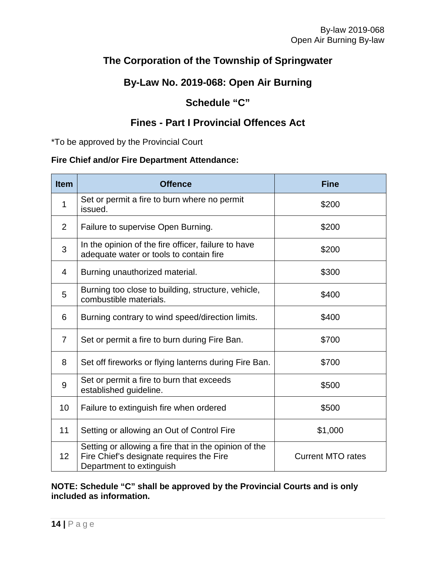## **The Corporation of the Township of Springwater**

## **By-Law No. 2019-068: Open Air Burning**

## **Schedule "C"**

## **Fines - Part I Provincial Offences Act**

\*To be approved by the Provincial Court

### **Fire Chief and/or Fire Department Attendance:**

| <b>Item</b>    | <b>Offence</b>                                                                                                                | <b>Fine</b>              |  |
|----------------|-------------------------------------------------------------------------------------------------------------------------------|--------------------------|--|
| 1              | Set or permit a fire to burn where no permit<br>issued.                                                                       | \$200                    |  |
| 2              | Failure to supervise Open Burning.                                                                                            | \$200                    |  |
| 3              | In the opinion of the fire officer, failure to have<br>adequate water or tools to contain fire                                | \$200                    |  |
| 4              | Burning unauthorized material.                                                                                                | \$300                    |  |
| 5              | Burning too close to building, structure, vehicle,<br>combustible materials.                                                  | \$400                    |  |
| 6              | Burning contrary to wind speed/direction limits.                                                                              | \$400                    |  |
| $\overline{7}$ | Set or permit a fire to burn during Fire Ban.                                                                                 | \$700                    |  |
| 8              | Set off fireworks or flying lanterns during Fire Ban.                                                                         | \$700                    |  |
| 9              | Set or permit a fire to burn that exceeds<br>established guideline.                                                           | \$500                    |  |
| 10             | Failure to extinguish fire when ordered                                                                                       | \$500                    |  |
| 11             | Setting or allowing an Out of Control Fire                                                                                    | \$1,000                  |  |
| 12             | Setting or allowing a fire that in the opinion of the<br>Fire Chief's designate requires the Fire<br>Department to extinguish | <b>Current MTO rates</b> |  |

### **NOTE: Schedule "C" shall be approved by the Provincial Courts and is only included as information.**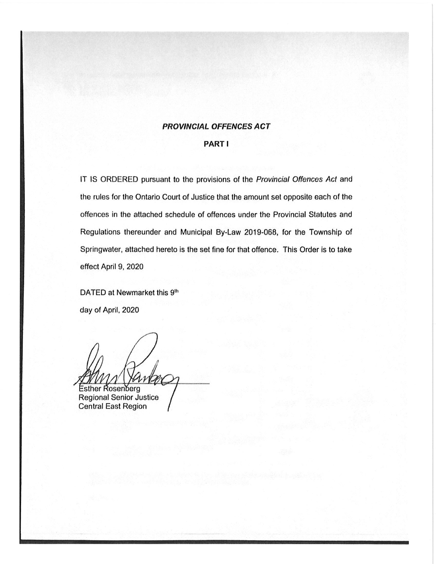### **PROVINCIAL OFFENCES ACT**

#### **PART I**

IT IS ORDERED pursuant to the provisions of the Provincial Offences Act and the rules for the Ontario Court of Justice that the amount set opposite each of the offences in the attached schedule of offences under the Provincial Statutes and Regulations thereunder and Municipal By-Law 2019-068, for the Township of Springwater, attached hereto is the set fine for that offence. This Order is to take effect April 9, 2020

DATED at Newmarket this 9th day of April, 2020

**Esther Rosenberg** 

Regional Senior Justice **Central East Region**